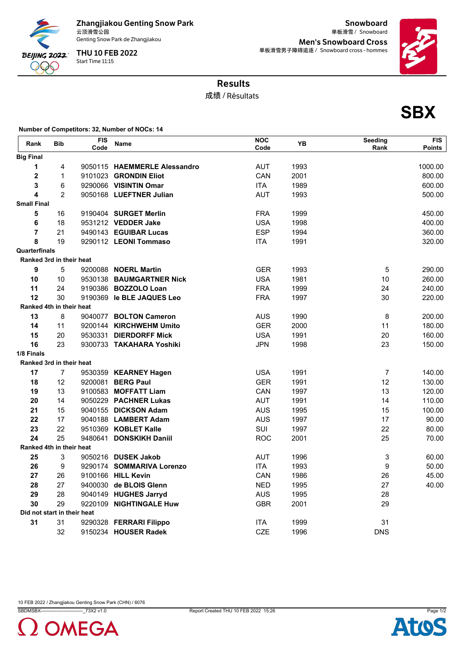

Zhangjiakou Genting Snow Park<br>云顶滑雪公园

Genting Snow Park de Zhangjiakou

Start Time 11:15 THU 10 FEB 2022

**Snowboard** 云顶滑雪公园 Snowboard 单板滑雪 / Men's Snowboard Cross 单板滑雪男子障碍追逐 / Snowboard cross - hommes



**SBX**

## Results

成绩 / Résultats

**Number of Competitors: 32, Number of NOCs: 14**

| Rank                    | <b>Bib</b>                  | <b>FIS</b><br>Code | <b>Name</b>                  | <b>NOC</b><br>Code | ΥB   | Seeding<br>Rank           | <b>FIS</b><br><b>Points</b> |
|-------------------------|-----------------------------|--------------------|------------------------------|--------------------|------|---------------------------|-----------------------------|
| <b>Big Final</b>        |                             |                    |                              |                    |      |                           |                             |
| $\mathbf 1$             | 4                           |                    | 9050115 HAEMMERLE Alessandro | <b>AUT</b>         | 1993 |                           | 1000.00                     |
| $\mathbf 2$             | $\mathbf{1}$                |                    | 9101023 GRONDIN Eliot        | <b>CAN</b>         | 2001 |                           | 800.00                      |
| 3                       | 6                           |                    | 9290066 VISINTIN Omar        | <b>ITA</b>         | 1989 |                           | 600.00                      |
| $\overline{\mathbf{4}}$ | $\overline{2}$              |                    | 9050168 LUEFTNER Julian      | <b>AUT</b>         | 1993 |                           | 500.00                      |
| <b>Small Final</b>      |                             |                    |                              |                    |      |                           |                             |
| 5                       | 16                          |                    | 9190404 SURGET Merlin        | <b>FRA</b>         | 1999 |                           | 450.00                      |
| 6                       | 18                          |                    | 9531212 VEDDER Jake          | <b>USA</b>         | 1998 |                           | 400.00                      |
| $\overline{7}$          | 21                          |                    | 9490143 EGUIBAR Lucas        | <b>ESP</b>         | 1994 |                           | 360.00                      |
| 8                       | 19                          |                    | 9290112 LEONI Tommaso        | <b>ITA</b>         | 1991 |                           | 320.00                      |
| Quarterfinals           |                             |                    |                              |                    |      |                           |                             |
|                         | Ranked 3rd in their heat    |                    |                              |                    |      |                           |                             |
| 9                       | 5                           |                    | 9200088 NOERL Martin         | <b>GER</b>         | 1993 | $\sqrt{5}$                | 290.00                      |
| 10                      | 10                          |                    | 9530138 BAUMGARTNER Nick     | <b>USA</b>         | 1981 | 10                        | 260.00                      |
| 11                      | 24                          |                    | 9190386 BOZZOLO Loan         | <b>FRA</b>         | 1999 | 24                        | 240.00                      |
| 12                      | 30                          |                    | 9190369 le BLE JAQUES Leo    | <b>FRA</b>         | 1997 | 30                        | 220.00                      |
|                         | Ranked 4th in their heat    |                    |                              |                    |      |                           |                             |
| 13                      | 8                           |                    | 9040077 BOLTON Cameron       | <b>AUS</b>         | 1990 | 8                         | 200.00                      |
| 14                      | 11                          |                    | 9200144 KIRCHWEHM Umito      | <b>GER</b>         | 2000 | 11                        | 180.00                      |
| 15                      | 20                          |                    | 9530331 DIERDORFF Mick       | <b>USA</b>         | 1991 | 20                        | 160.00                      |
| 16                      | 23                          |                    | 9300733 TAKAHARA Yoshiki     | <b>JPN</b>         | 1998 | 23                        | 150.00                      |
| 1/8 Finals              |                             |                    |                              |                    |      |                           |                             |
|                         | Ranked 3rd in their heat    |                    |                              |                    |      |                           |                             |
| 17                      | $\overline{7}$              |                    | 9530359 KEARNEY Hagen        | <b>USA</b>         | 1991 | $\overline{7}$            | 140.00                      |
| 18                      | 12                          |                    | 9200081 BERG Paul            | <b>GER</b>         | 1991 | 12                        | 130.00                      |
| 19                      | 13                          |                    | 9100583 MOFFATT Liam         | CAN                | 1997 | 13                        | 120.00                      |
| 20                      | 14                          |                    | 9050229 PACHNER Lukas        | <b>AUT</b>         | 1991 | 14                        | 110.00                      |
| 21                      | 15                          |                    | 9040155 DICKSON Adam         | <b>AUS</b>         | 1995 | 15                        | 100.00                      |
| 22                      | 17                          |                    | 9040188 LAMBERT Adam         | <b>AUS</b>         | 1997 | 17                        | 90.00                       |
| 23                      | 22                          |                    | 9510369 KOBLET Kalle         | SUI                | 1997 | 22                        | 80.00                       |
| 24                      | 25                          |                    | 9480641 DONSKIKH Daniil      | <b>ROC</b>         | 2001 | 25                        | 70.00                       |
|                         | Ranked 4th in their heat    |                    |                              |                    |      |                           |                             |
| 25                      | 3                           |                    | 9050216 DUSEK Jakob          | AUT                | 1996 | $\ensuremath{\mathsf{3}}$ | 60.00                       |
| 26                      | 9                           |                    | 9290174 SOMMARIVA Lorenzo    | <b>ITA</b>         | 1993 | 9                         | 50.00                       |
| 27                      | 26                          |                    | 9100166 HILL Kevin           | CAN                | 1986 | 26                        | 45.00                       |
| 28                      | 27                          |                    | 9400030 de BLOIS Glenn       | <b>NED</b>         | 1995 | 27                        | 40.00                       |
| 29                      | 28                          |                    | 9040149 HUGHES Jarryd        | <b>AUS</b>         | 1995 | 28                        |                             |
| 30                      | 29                          |                    | 9220109 NIGHTINGALE Huw      | <b>GBR</b>         | 2001 | 29                        |                             |
|                         | Did not start in their heat |                    |                              |                    |      |                           |                             |
| 31                      | 31                          |                    | 9290328 FERRARI Filippo      | <b>ITA</b>         | 1999 | 31                        |                             |
|                         | 32                          |                    | 9150234 HOUSER Radek         | <b>CZE</b>         | 1996 | <b>DNS</b>                |                             |